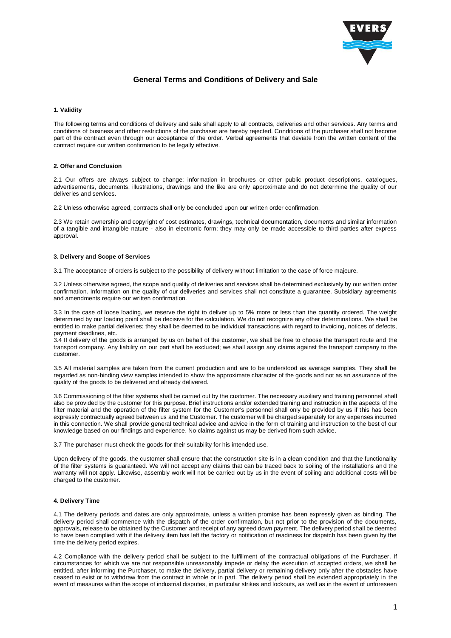

# **General Terms and Conditions of Delivery and Sale**

### **1. Validity**

The following terms and conditions of delivery and sale shall apply to all contracts, deliveries and other services. Any terms and conditions of business and other restrictions of the purchaser are hereby rejected. Conditions of the purchaser shall not become part of the contract even through our acceptance of the order. Verbal agreements that deviate from the written content of the contract require our written confirmation to be legally effective.

# **2. Offer and Conclusion**

2.1 Our offers are always subject to change; information in brochures or other public product descriptions, catalogues, advertisements, documents, illustrations, drawings and the like are only approximate and do not determine the quality of our deliveries and services.

2.2 Unless otherwise agreed, contracts shall only be concluded upon our written order confirmation.

2.3 We retain ownership and copyright of cost estimates, drawings, technical documentation, documents and similar information of a tangible and intangible nature - also in electronic form; they may only be made accessible to third parties after express approval.

#### **3. Delivery and Scope of Services**

3.1 The acceptance of orders is subject to the possibility of delivery without limitation to the case of force majeure.

3.2 Unless otherwise agreed, the scope and quality of deliveries and services shall be determined exclusively by our written order confirmation. Information on the quality of our deliveries and services shall not constitute a guarantee. Subsidiary agreements and amendments require our written confirmation.

3.3 In the case of loose loading, we reserve the right to deliver up to 5% more or less than the quantity ordered. The weight determined by our loading point shall be decisive for the calculation. We do not recognize any other determinations. We shall be entitled to make partial deliveries; they shall be deemed to be individual transactions with regard to invoicing, notices of defects, payment deadlines, etc.

3.4 If delivery of the goods is arranged by us on behalf of the customer, we shall be free to choose the transport route and the transport company. Any liability on our part shall be excluded; we shall assign any claims against the transport company to the customer.

3.5 All material samples are taken from the current production and are to be understood as average samples. They shall be regarded as non-binding view samples intended to show the approximate character of the goods and not as an assurance of the quality of the goods to be delivered and already delivered.

3.6 Commissioning of the filter systems shall be carried out by the customer. The necessary auxiliary and training personnel shall also be provided by the customer for this purpose. Brief instructions and/or extended training and instruction in the aspects of the filter material and the operation of the filter system for the Customer's personnel shall only be provided by us if this has been expressly contractually agreed between us and the Customer. The customer will be charged separately for any expenses incurred in this connection. We shall provide general technical advice and advice in the form of training and instruction to the best of our knowledge based on our findings and experience. No claims against us may be derived from such advice.

3.7 The purchaser must check the goods for their suitability for his intended use.

Upon delivery of the goods, the customer shall ensure that the construction site is in a clean condition and that the functionality of the filter systems is guaranteed. We will not accept any claims that can be traced back to soiling of the installations and the warranty will not apply. Likewise, assembly work will not be carried out by us in the event of soiling and additional costs will be charged to the customer.

### **4. Delivery Time**

4.1 The delivery periods and dates are only approximate, unless a written promise has been expressly given as binding. The delivery period shall commence with the dispatch of the order confirmation, but not prior to the provision of the documents, approvals, release to be obtained by the Customer and receipt of any agreed down payment. The delivery period shall be deemed to have been complied with if the delivery item has left the factory or notification of readiness for dispatch has been given by the time the delivery period expires.

4.2 Compliance with the delivery period shall be subject to the fulfillment of the contractual obligations of the Purchaser. If circumstances for which we are not responsible unreasonably impede or delay the execution of accepted orders, we shall be entitled, after informing the Purchaser, to make the delivery, partial delivery or remaining delivery only after the obstacles have ceased to exist or to withdraw from the contract in whole or in part. The delivery period shall be extended appropriately in the event of measures within the scope of industrial disputes, in particular strikes and lockouts, as well as in the event of unforeseen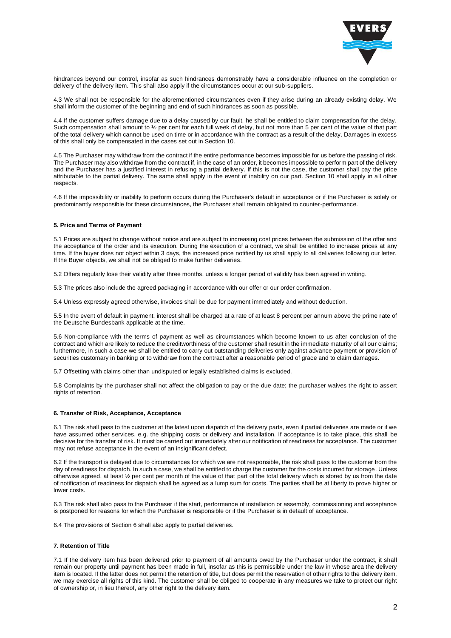

hindrances beyond our control, insofar as such hindrances demonstrably have a considerable influence on the completion or delivery of the delivery item. This shall also apply if the circumstances occur at our sub-suppliers.

4.3 We shall not be responsible for the aforementioned circumstances even if they arise during an already existing delay. We shall inform the customer of the beginning and end of such hindrances as soon as possible.

4.4 If the customer suffers damage due to a delay caused by our fault, he shall be entitled to claim compensation for the delay. Such compensation shall amount to 1/2 per cent for each full week of delay, but not more than 5 per cent of the value of that part of the total delivery which cannot be used on time or in accordance with the contract as a result of the delay. Damages in excess of this shall only be compensated in the cases set out in Section 10.

4.5 The Purchaser may withdraw from the contract if the entire performance becomes impossible for us before the passing of risk. The Purchaser may also withdraw from the contract if, in the case of an order, it becomes impossible to perform part of the delivery and the Purchaser has a justified interest in refusing a partial delivery. If this is not the case, the customer shall pay the price attributable to the partial delivery. The same shall apply in the event of inability on our part. Section 10 shall apply in all other respects.

4.6 If the impossibility or inability to perform occurs during the Purchaser's default in acceptance or if the Purchaser is solely or predominantly responsible for these circumstances, the Purchaser shall remain obligated to counter-performance.

### **5. Price and Terms of Payment**

5.1 Prices are subject to change without notice and are subject to increasing cost prices between the submission of the offer and the acceptance of the order and its execution. During the execution of a contract, we shall be entitled to increase prices at any time. If the buyer does not object within 3 days, the increased price notified by us shall apply to all deliveries following our letter. If the Buyer objects, we shall not be obliged to make further deliveries.

5.2 Offers regularly lose their validity after three months, unless a longer period of validity has been agreed in writing.

5.3 The prices also include the agreed packaging in accordance with our offer or our order confirmation.

5.4 Unless expressly agreed otherwise, invoices shall be due for payment immediately and without deduction.

5.5 In the event of default in payment, interest shall be charged at a rate of at least 8 percent per annum above the prime rate of the Deutsche Bundesbank applicable at the time.

5.6 Non-compliance with the terms of payment as well as circumstances which become known to us after conclusion of the contract and which are likely to reduce the creditworthiness of the customer shall result in the immediate maturity of all our claims; furthermore, in such a case we shall be entitled to carry out outstanding deliveries only against advance payment or provision of securities customary in banking or to withdraw from the contract after a reasonable period of grace and to claim damages.

5.7 Offsetting with claims other than undisputed or legally established claims is excluded.

5.8 Complaints by the purchaser shall not affect the obligation to pay or the due date; the purchaser waives the right to assert rights of retention.

## **6. Transfer of Risk, Acceptance, Acceptance**

6.1 The risk shall pass to the customer at the latest upon dispatch of the delivery parts, even if partial deliveries are made or if we have assumed other services, e.g. the shipping costs or delivery and installation. If acceptance is to take place, this shall be decisive for the transfer of risk. It must be carried out immediately after our notification of readiness for acceptance. The customer may not refuse acceptance in the event of an insignificant defect.

6.2 If the transport is delayed due to circumstances for which we are not responsible, the risk shall pass to the customer from the day of readiness for dispatch. In such a case, we shall be entitled to charge the customer for the costs incurred for storage. Unless otherwise agreed, at least ½ per cent per month of the value of that part of the total delivery which is stored by us from the date of notification of readiness for dispatch shall be agreed as a lump sum for costs. The parties shall be at liberty to prove higher or lower costs.

6.3 The risk shall also pass to the Purchaser if the start, performance of installation or assembly, commissioning and acceptance is postponed for reasons for which the Purchaser is responsible or if the Purchaser is in default of acceptance.

6.4 The provisions of Section 6 shall also apply to partial deliveries.

### **7. Retention of Title**

7.1 If the delivery item has been delivered prior to payment of all amounts owed by the Purchaser under the contract, it shal l remain our property until payment has been made in full, insofar as this is permissible under the law in whose area the delivery item is located. If the latter does not permit the retention of title, but does permit the reservation of other rights to the delivery item, we may exercise all rights of this kind. The customer shall be obliged to cooperate in any measures we take to protect our right of ownership or, in lieu thereof, any other right to the delivery item.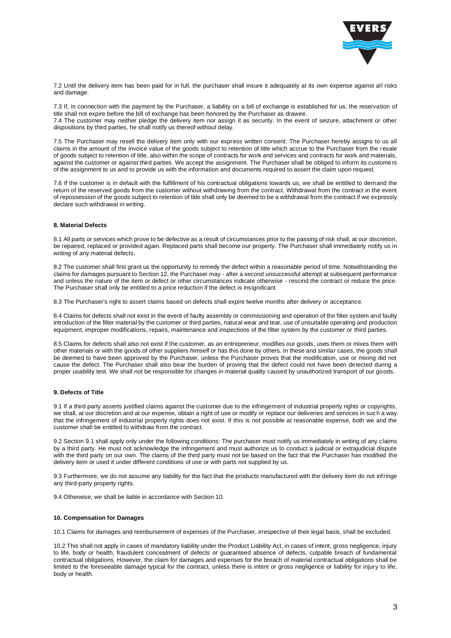

7.2 Until the delivery item has been paid for in full, the purchaser shall insure it adequately at its own expense against all risks and damage.

7.3 If, in connection with the payment by the Purchaser, a liability on a bill of exchange is established for us, the reservation of title shall not expire before the bill of exchange has been honored by the Purchaser as drawee. 7.4 The customer may neither pledge the delivery item nor assign it as security. In the event of seizure, attachment or other dispositions by third parties, he shall notify us thereof without delay.

7.5 The Purchaser may resell the delivery item only with our express written consent. The Purchaser hereby assigns to us all claims in the amount of the invoice value of the goods subject to retention of title which accrue to the Purchaser from the resale of goods subject to retention of title, also within the scope of contracts for work and services and contracts for work and materials, against the customer or against third parties. We accept the assignment. The Purchaser shall be obliged to inform its customers of the assignment to us and to provide us with the information and documents required to assert the claim upon request.

7.6 If the customer is in default with the fulfillment of his contractual obligations towards us, we shall be entitled to demand the return of the reserved goods from the customer without withdrawing from the contract. Withdrawal from the contract in the event of repossession of the goods subject to retention of title shall only be deemed to be a withdrawal from the contract if we expressly declare such withdrawal in writing.

### **8. Material Defects**

8.1 All parts or services which prove to be defective as a result of circumstances prior to the passing of risk shall, at our discretion, be repaired, replaced or provided again. Replaced parts shall become our property. The Purchaser shall immediately notify us in writing of any material defects.

8.2 The customer shall first grant us the opportunity to remedy the defect within a reasonable period of time. Notwithstanding the claims for damages pursuant to Section 12, the Purchaser may - after a second unsuccessful attempt at subsequent performance and unless the nature of the item or defect or other circumstances indicate otherwise - rescind the contract or reduce the price. The Purchaser shall only be entitled to a price reduction if the defect is insignificant.

8.3 The Purchaser's right to assert claims based on defects shall expire twelve months after delivery or acceptance.

8.4 Claims for defects shall not exist in the event of faulty assembly or commissioning and operation of the filter system and faulty introduction of the filter material by the customer or third parties, natural wear and tear, use of unsuitable operating and production equipment, improper modifications, repairs, maintenance and inspections of the filter system by the customer or third parties.

8.5 Claims for defects shall also not exist if the customer, as an entrepreneur, modifies our goods, uses them or mixes them with other materials or with the goods of other suppliers himself or has this done by others. In these and similar cases, the goods shall be deemed to have been approved by the Purchaser, unless the Purchaser proves that the modification, use or mixing did not cause the defect. The Purchaser shall also bear the burden of proving that the defect could not have been detected during a proper usability test. We shall not be responsible for changes in material quality caused by unauthorized transport of our goods.

### **9. Defects of Title**

9.1 If a third party asserts justified claims against the customer due to the infringement of industrial property rights or copyrights, we shall, at our discretion and at our expense, obtain a right of use or modify or replace our deliveries and services in such a way that the infringement of industrial property rights does not exist. If this is not possible at reasonable expense, both we and the customer shall be entitled to withdraw from the contract.

9.2 Section 9.1 shall apply only under the following conditions: The purchaser must notify us immediately in writing of any claims by a third party. He must not acknowledge the infringement and must authorize us to conduct a judicial or extrajudicial dispute with the third party on our own. The claims of the third party must not be based on the fact that the Purchaser has modified the delivery item or used it under different conditions of use or with parts not supplied by us.

9.3 Furthermore, we do not assume any liability for the fact that the products manufactured with the delivery item do not infringe any third-party property rights.

9.4 Otherwise, we shall be liable in accordance with Section 10.

#### **10. Compensation for Damages**

10.1 Claims for damages and reimbursement of expenses of the Purchaser, irrespective of their legal basis, shall be excluded.

10.2 This shall not apply in cases of mandatory liability under the Product Liability Act, in cases of intent, gross negligence, injury to life, body or health, fraudulent concealment of defects or guaranteed absence of defects, culpable breach of fundamental contractual obligations. However, the claim for damages and expenses for the breach of material contractual obligations shall be limited to the foreseeable damage typical for the contract, unless there is intent or gross negligence or liability for injury to life, body or health.